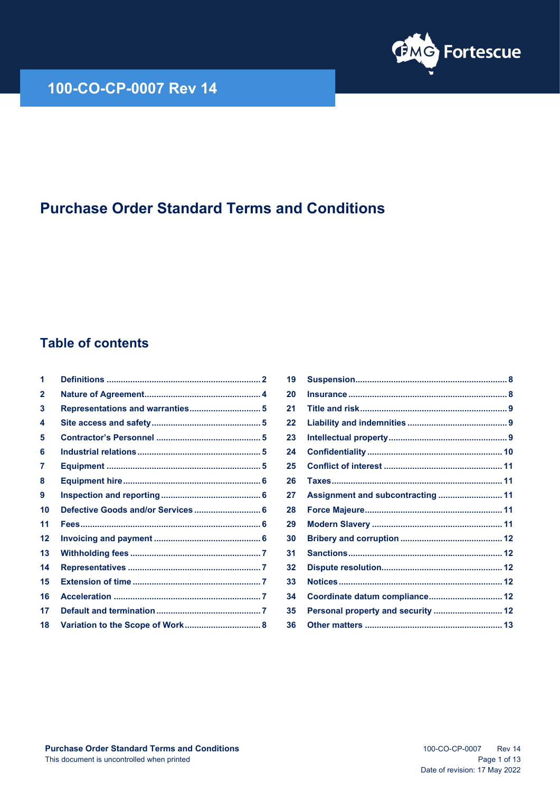

## **100-CO-CP-0007 Rev 14**

# **Purchase Order Standard Terms and Conditions**

## **Table of contents**

| 1            |  |
|--------------|--|
| $\mathbf{2}$ |  |
| 3            |  |
| 4            |  |
| 5            |  |
| 6            |  |
| 7            |  |
| 8            |  |
| 9            |  |
| 10           |  |
| 11           |  |
| 12           |  |
| 13           |  |
| 14           |  |
| 15           |  |
| 16           |  |
| 17           |  |
| 18           |  |
|              |  |

| 19 |                                    |  |
|----|------------------------------------|--|
| 20 |                                    |  |
| 21 |                                    |  |
| 22 |                                    |  |
| 23 |                                    |  |
| 24 |                                    |  |
| 25 |                                    |  |
| 26 |                                    |  |
| 27 | Assignment and subcontracting  11  |  |
| 28 |                                    |  |
| 29 |                                    |  |
| 30 |                                    |  |
| 31 |                                    |  |
| 32 |                                    |  |
| 33 |                                    |  |
| 34 | Coordinate datum compliance 12     |  |
| 35 | Personal property and security  12 |  |
| 36 |                                    |  |
|    |                                    |  |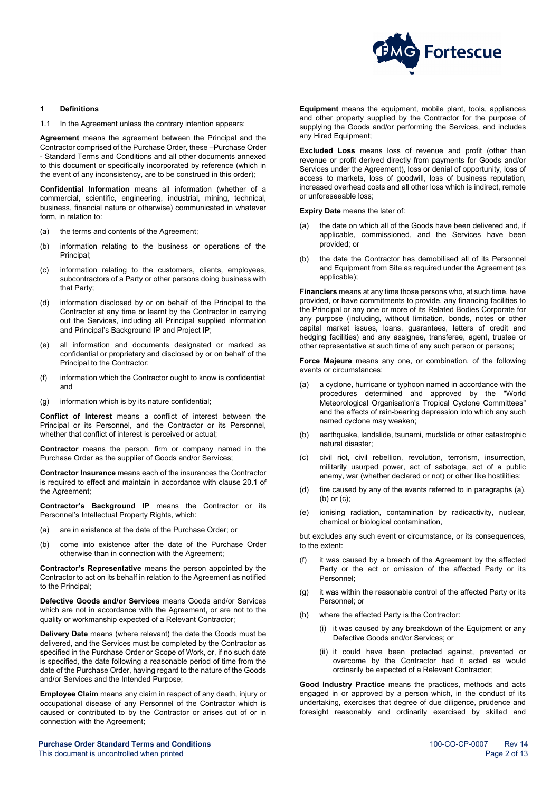

## <span id="page-1-0"></span>**1 Definitions**

1.1 In the Agreement unless the contrary intention appears:

**Agreement** means the agreement between the Principal and the Contractor comprised of the Purchase Order, these –Purchase Order - Standard Terms and Conditions and all other documents annexed to this document or specifically incorporated by reference (which in the event of any inconsistency, are to be construed in this order);

**Confidential Information** means all information (whether of a commercial, scientific, engineering, industrial, mining, technical, business, financial nature or otherwise) communicated in whatever form, in relation to:

- (a) the terms and contents of the Agreement;
- (b) information relating to the business or operations of the Principal;
- (c) information relating to the customers, clients, employees, subcontractors of a Party or other persons doing business with that Party;
- (d) information disclosed by or on behalf of the Principal to the Contractor at any time or learnt by the Contractor in carrying out the Services, including all Principal supplied information and Principal's Background IP and Project IP;
- (e) all information and documents designated or marked as confidential or proprietary and disclosed by or on behalf of the Principal to the Contractor;
- (f) information which the Contractor ought to know is confidential; and
- (g) information which is by its nature confidential;

**Conflict of Interest** means a conflict of interest between the Principal or its Personnel, and the Contractor or its Personnel, whether that conflict of interest is perceived or actual;

**Contractor** means the person, firm or company named in the Purchase Order as the supplier of Goods and/or Services;

**Contractor Insurance** means each of the insurances the Contractor is required to effect and maintain in accordance with clause [20.1](#page-7-3) of the Agreement;

**Contractor's Background IP** means the Contractor or its Personnel's Intellectual Property Rights, which:

- (a) are in existence at the date of the Purchase Order; or
- (b) come into existence after the date of the Purchase Order otherwise than in connection with the Agreement;

**Contractor's Representative** means the person appointed by the Contractor to act on its behalf in relation to the Agreement as notified to the Principal;

**Defective Goods and/or Services** means Goods and/or Services which are not in accordance with the Agreement, or are not to the quality or workmanship expected of a Relevant Contractor;

**Delivery Date** means (where relevant) the date the Goods must be delivered, and the Services must be completed by the Contractor as specified in the Purchase Order or Scope of Work, or, if no such date is specified, the date following a reasonable period of time from the date of the Purchase Order, having regard to the nature of the Goods and/or Services and the Intended Purpose;

**Employee Claim** means any claim in respect of any death, injury or occupational disease of any Personnel of the Contractor which is caused or contributed to by the Contractor or arises out of or in connection with the Agreement;

**Equipment** means the equipment, mobile plant, tools, appliances and other property supplied by the Contractor for the purpose of supplying the Goods and/or performing the Services, and includes any Hired Equipment;

**Excluded Loss** means loss of revenue and profit (other than revenue or profit derived directly from payments for Goods and/or Services under the Agreement), loss or denial of opportunity, loss of access to markets, loss of goodwill, loss of business reputation, increased overhead costs and all other loss which is indirect, remote or unforeseeable loss;

**Expiry Date** means the later of:

- (a) the date on which all of the Goods have been delivered and, if applicable, commissioned, and the Services have been provided; or
- (b) the date the Contractor has demobilised all of its Personnel and Equipment from Site as required under the Agreement (as applicable);

**Financiers** means at any time those persons who, at such time, have provided, or have commitments to provide, any financing facilities to the Principal or any one or more of its Related Bodies Corporate for any purpose (including, without limitation, bonds, notes or other capital market issues, loans, guarantees, letters of credit and hedging facilities) and any assignee, transferee, agent, trustee or other representative at such time of any such person or persons;

**Force Majeure** means any one, or combination, of the following events or circumstances:

- <span id="page-1-1"></span>(a) a cyclone, hurricane or typhoon named in accordance with the procedures determined and approved by the "World Meteorological Organisation's Tropical Cyclone Committees" and the effects of rain-bearing depression into which any such named cyclone may weaken;
- <span id="page-1-2"></span>(b) earthquake, landslide, tsunami, mudslide or other catastrophic natural disaster;
- <span id="page-1-3"></span>(c) civil riot, civil rebellion, revolution, terrorism, insurrection, militarily usurped power, act of sabotage, act of a public enemy, war (whether declared or not) or other like hostilities;
- (d) fire caused by any of the events referred to in paragraphs [\(a\),](#page-1-1) [\(b\)](#page-1-2) o[r \(c\);](#page-1-3)
- (e) ionising radiation, contamination by radioactivity, nuclear, chemical or biological contamination,

but excludes any such event or circumstance, or its consequences, to the extent:

- (f) it was caused by a breach of the Agreement by the affected Party or the act or omission of the affected Party or its Personnel;
- (g) it was within the reasonable control of the affected Party or its Personnel; or
- (h) where the affected Party is the Contractor:
	- (i) it was caused by any breakdown of the Equipment or any Defective Goods and/or Services; or
	- (ii) it could have been protected against, prevented or overcome by the Contractor had it acted as would ordinarily be expected of a Relevant Contractor;

**Good Industry Practice** means the practices, methods and acts engaged in or approved by a person which, in the conduct of its undertaking, exercises that degree of due diligence, prudence and foresight reasonably and ordinarily exercised by skilled and

**Purchase Order Standard Terms and Conditions** 100-CD-0007 Rev 14 This document is uncontrolled when printed  $\blacksquare$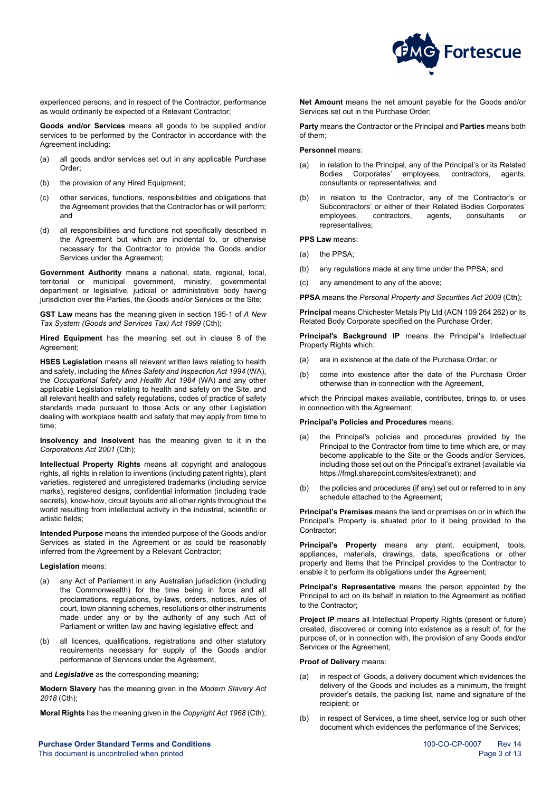

experienced persons, and in respect of the Contractor, performance as would ordinarily be expected of a Relevant Contractor;

**Goods and/or Services** means all goods to be supplied and/or services to be performed by the Contractor in accordance with the Agreement including:

- (a) all goods and/or services set out in any applicable Purchase Order;
- (b) the provision of any Hired Equipment;
- (c) other services, functions, responsibilities and obligations that the Agreement provides that the Contractor has or will perform; and
- (d) all responsibilities and functions not specifically described in the Agreement but which are incidental to, or otherwise necessary for the Contractor to provide the Goods and/or Services under the Agreement;

**Government Authority** means a national, state, regional, local, territorial or municipal government, ministry, governmental department or legislative, judicial or administrative body having jurisdiction over the Parties, the Goods and/or Services or the Site;

**GST Law** means has the meaning given in section 195-1 of *A New Tax System (Goods and Services Tax) Act 1999* (Cth);

**Hired Equipment** has the meaning set out in clause [8](#page-5-5) of the Agreement;

**HSES Legislation** means all relevant written laws relating to health and safety, including the *Mines Safety and Inspection Act 1994* (WA), the *Occupational Safety and Health Act 1984* (WA) and any other applicable Legislation relating to health and safety on the Site, and all relevant health and safety regulations, codes of practice of safety standards made pursuant to those Acts or any other Legislation dealing with workplace health and safety that may apply from time to time;

**Insolvency and Insolvent** has the meaning given to it in the *Corporations Act 2001* (Cth);

**Intellectual Property Rights** means all copyright and analogous rights, all rights in relation to inventions (including patent rights), plant varieties, registered and unregistered trademarks (including service marks), registered designs, confidential information (including trade secrets), know-how, circuit layouts and all other rights throughout the world resulting from intellectual activity in the industrial, scientific or artistic fields;

**Intended Purpose** means the intended purpose of the Goods and/or Services as stated in the Agreement or as could be reasonably inferred from the Agreement by a Relevant Contractor;

#### **Legislation** means:

- (a) any Act of Parliament in any Australian jurisdiction (including the Commonwealth) for the time being in force and all proclamations, regulations, by-laws, orders, notices, rules of court, town planning schemes, resolutions or other instruments made under any or by the authority of any such Act of Parliament or written law and having legislative effect; and
- (b) all licences, qualifications, registrations and other statutory requirements necessary for supply of the Goods and/or performance of Services under the Agreement,
- and *Legislative* as the corresponding meaning;

**Modern Slavery** has the meaning given in the *Modern Slavery Act 2018* (Cth);

**Moral Rights** has the meaning given in the *Copyright Act 1968* (Cth);

**Purchase Order Standard Terms and Conditions** 100-CDCP-0007 Rev 14 This document is uncontrolled when printed **Page 3 of 13** and 2 of 13

**Net Amount** means the net amount payable for the Goods and/or Services set out in the Purchase Order:

**Party** means the Contractor or the Principal and **Parties** means both of them;

## **Personnel** means:

- (a) in relation to the Principal, any of the Principal's or its Related Bodies Corporates' employees, contractors, agents, consultants or representatives; and
- (b) in relation to the Contractor, any of the Contractor's or Subcontractors' or either of their Related Bodies Corporates' employees, contractors, agents, consultants or representatives;

**PPS Law** means:

- (a) the PPSA<sup>-</sup>
- (b) any regulations made at any time under the PPSA; and
- (c) any amendment to any of the above;

**PPSA** means the *Personal Property and Securities Act 2009* (Cth);

**Principal** means Chichester Metals Pty Ltd (ACN 109 264 262) or its Related Body Corporate specified on the Purchase Order;

**Principal's Background IP** means the Principal's Intellectual Property Rights which:

- (a) are in existence at the date of the Purchase Order; or
- (b) come into existence after the date of the Purchase Order otherwise than in connection with the Agreement,

which the Principal makes available, contributes, brings to, or uses in connection with the Agreement;

#### **Principal's Policies and Procedures** means:

- (a) the Principal's policies and procedures provided by the Principal to the Contractor from time to time which are, or may become applicable to the Site or the Goods and/or Services, including those set out on the Principal's extranet (available via [https://fmgl.sharepoint.com/sites/extranet\)](https://fmgl.sharepoint.com/sites/extranet); and
- (b) the policies and procedures (if any) set out or referred to in any schedule attached to the Agreement;

**Principal's Premises** means the land or premises on or in which the Principal's Property is situated prior to it being provided to the Contractor;

**Principal's Property** means any plant, equipment, tools, appliances, materials, drawings, data, specifications or other property and items that the Principal provides to the Contractor to enable it to perform its obligations under the Agreement;

**Principal's Representative** means the person appointed by the Principal to act on its behalf in relation to the Agreement as notified to the Contractor;

**Project IP** means all Intellectual Property Rights (present or future) created, discovered or coming into existence as a result of, for the purpose of, or in connection with, the provision of any Goods and/or Services or the Agreement;

#### **Proof of Delivery** means:

- (a) in respect of Goods, a delivery document which evidences the delivery of the Goods and includes as a minimum, the freight provider's details, the packing list, name and signature of the recipient; or
- (b) in respect of Services, a time sheet, service log or such other document which evidences the performance of the Services;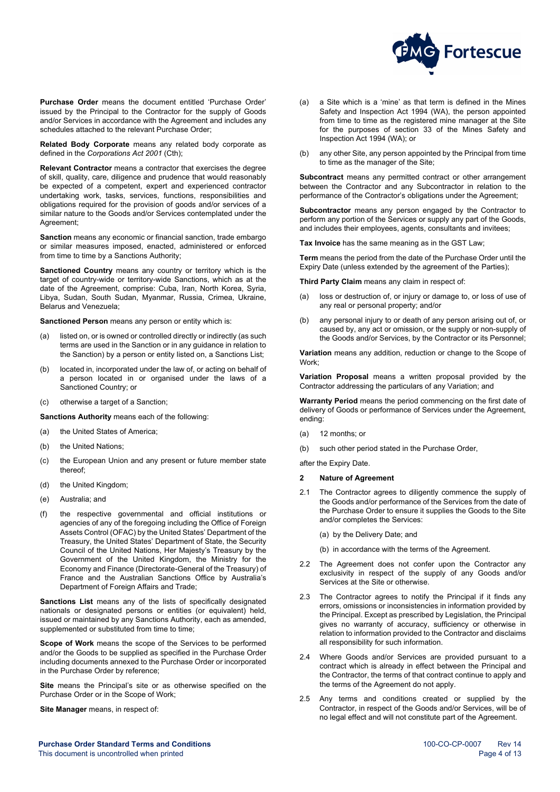

**Purchase Order** means the document entitled 'Purchase Order' issued by the Principal to the Contractor for the supply of Goods and/or Services in accordance with the Agreement and includes any schedules attached to the relevant Purchase Order;

**Related Body Corporate** means any related body corporate as defined in the *Corporations Act 2001* (Cth);

**Relevant Contractor** means a contractor that exercises the degree of skill, quality, care, diligence and prudence that would reasonably be expected of a competent, expert and experienced contractor undertaking work, tasks, services, functions, responsibilities and obligations required for the provision of goods and/or services of a similar nature to the Goods and/or Services contemplated under the Agreement;

**Sanction** means any economic or financial sanction, trade embargo or similar measures imposed, enacted, administered or enforced from time to time by a Sanctions Authority;

**Sanctioned Country** means any country or territory which is the target of country-wide or territory-wide Sanctions, which as at the date of the Agreement, comprise: Cuba, Iran, North Korea, Syria, Libya, Sudan, South Sudan, Myanmar, Russia, Crimea, Ukraine, Belarus and Venezuela;

**Sanctioned Person** means any person or entity which is:

- (a) listed on, or is owned or controlled directly or indirectly (as such terms are used in the Sanction or in any guidance in relation to the Sanction) by a person or entity listed on, a Sanctions List;
- (b) located in, incorporated under the law of, or acting on behalf of a person located in or organised under the laws of a Sanctioned Country; or
- (c) otherwise a target of a Sanction;

**Sanctions Authority** means each of the following:

- (a) the United States of America;
- (b) the United Nations;
- (c) the European Union and any present or future member state thereof;
- (d) the United Kingdom;
- (e) Australia; and
- (f) the respective governmental and official institutions or agencies of any of the foregoing including the Office of Foreign Assets Control (OFAC) by the United States' Department of the Treasury, the United States' Department of State, the Security Council of the United Nations, Her Majesty's Treasury by the Government of the United Kingdom, the Ministry for the Economy and Finance (Directorate-General of the Treasury) of France and the Australian Sanctions Office by Australia's Department of Foreign Affairs and Trade;

**Sanctions List** means any of the lists of specifically designated nationals or designated persons or entities (or equivalent) held, issued or maintained by any Sanctions Authority, each as amended, supplemented or substituted from time to time;

**Scope of Work** means the scope of the Services to be performed and/or the Goods to be supplied as specified in the Purchase Order including documents annexed to the Purchase Order or incorporated in the Purchase Order by reference;

**Site** means the Principal's site or as otherwise specified on the Purchase Order or in the Scope of Work;

**Site Manager** means, in respect of:

- (a) a Site which is a 'mine' as that term is defined in the Mines Safety and Inspection Act 1994 (WA), the person appointed from time to time as the registered mine manager at the Site for the purposes of section 33 of the Mines Safety and Inspection Act 1994 (WA); or
- (b) any other Site, any person appointed by the Principal from time to time as the manager of the Site;

**Subcontract** means any permitted contract or other arrangement between the Contractor and any Subcontractor in relation to the performance of the Contractor's obligations under the Agreement;

**Subcontractor** means any person engaged by the Contractor to perform any portion of the Services or supply any part of the Goods, and includes their employees, agents, consultants and invitees;

**Tax Invoice** has the same meaning as in the GST Law;

**Term** means the period from the date of the Purchase Order until the Expiry Date (unless extended by the agreement of the Parties);

**Third Party Claim** means any claim in respect of:

- (a) loss or destruction of, or injury or damage to, or loss of use of any real or personal property; and/or
- (b) any personal injury to or death of any person arising out of, or caused by, any act or omission, or the supply or non-supply of the Goods and/or Services, by the Contractor or its Personnel;

**Variation** means any addition, reduction or change to the Scope of Work;

**Variation Proposal** means a written proposal provided by the Contractor addressing the particulars of any Variation; and

**Warranty Period** means the period commencing on the first date of delivery of Goods or performance of Services under the Agreement, ending:

- (a) 12 months; or
- (b) such other period stated in the Purchase Order,

after the Expiry Date.

## <span id="page-3-0"></span>**2 Nature of Agreement**

- 2.1 The Contractor agrees to diligently commence the supply of the Goods and/or performance of the Services from the date of the Purchase Order to ensure it supplies the Goods to the Site and/or completes the Services:
	- (a) by the Delivery Date; and
	- (b) in accordance with the terms of the Agreement.
- 2.2 The Agreement does not confer upon the Contractor any exclusivity in respect of the supply of any Goods and/or Services at the Site or otherwise.
- 2.3 The Contractor agrees to notify the Principal if it finds any errors, omissions or inconsistencies in information provided by the Principal. Except as prescribed by Legislation, the Principal gives no warranty of accuracy, sufficiency or otherwise in relation to information provided to the Contractor and disclaims all responsibility for such information.
- 2.4 Where Goods and/or Services are provided pursuant to a contract which is already in effect between the Principal and the Contractor, the terms of that contract continue to apply and the terms of the Agreement do not apply.
- 2.5 Any terms and conditions created or supplied by the Contractor, in respect of the Goods and/or Services, will be of no legal effect and will not constitute part of the Agreement.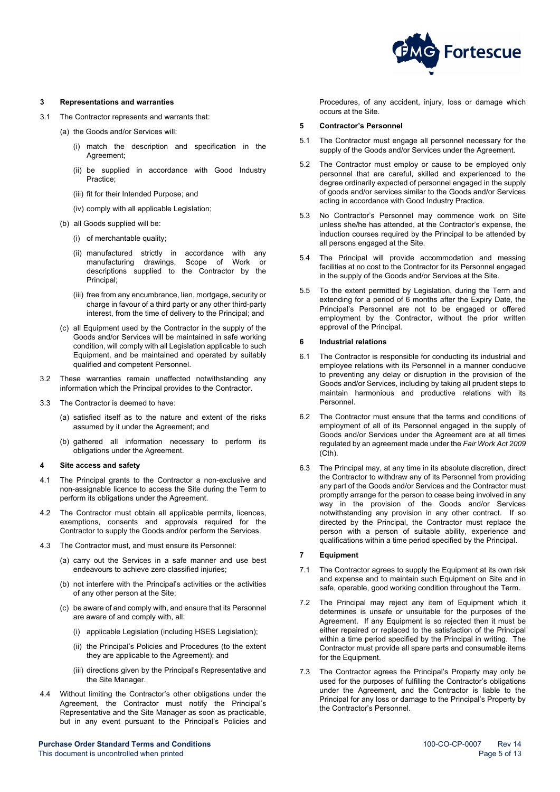

#### <span id="page-4-0"></span>**3 Representations and warranties**

- 3.1 The Contractor represents and warrants that:
	- (a) the Goods and/or Services will:
		- (i) match the description and specification in the Agreement;
		- (ii) be supplied in accordance with Good Industry Practice;
		- (iii) fit for their Intended Purpose; and
		- (iv) comply with all applicable Legislation;
	- (b) all Goods supplied will be:
		- (i) of merchantable quality;
		- (ii) manufactured strictly in accordance with any manufacturing drawings, Scope of Work or descriptions supplied to the Contractor by the Principal;
		- (iii) free from any encumbrance, lien, mortgage, security or charge in favour of a third party or any other third-party interest, from the time of delivery to the Principal; and
	- (c) all Equipment used by the Contractor in the supply of the Goods and/or Services will be maintained in safe working condition, will comply with all Legislation applicable to such Equipment, and be maintained and operated by suitably qualified and competent Personnel.
- 3.2 These warranties remain unaffected notwithstanding any information which the Principal provides to the Contractor.
- 3.3 The Contractor is deemed to have:
	- (a) satisfied itself as to the nature and extent of the risks assumed by it under the Agreement; and
	- (b) gathered all information necessary to perform its obligations under the Agreement.

## <span id="page-4-1"></span>**4 Site access and safety**

- 4.1 The Principal grants to the Contractor a non-exclusive and non-assignable licence to access the Site during the Term to perform its obligations under the Agreement.
- 4.2 The Contractor must obtain all applicable permits, licences, exemptions, consents and approvals required for the Contractor to supply the Goods and/or perform the Services.
- 4.3 The Contractor must, and must ensure its Personnel:
	- (a) carry out the Services in a safe manner and use best endeavours to achieve zero classified injuries;
	- (b) not interfere with the Principal's activities or the activities of any other person at the Site;
	- (c) be aware of and comply with, and ensure that its Personnel are aware of and comply with, all:
		- (i) applicable Legislation (including HSES Legislation);
		- (ii) the Principal's Policies and Procedures (to the extent they are applicable to the Agreement); and
		- (iii) directions given by the Principal's Representative and the Site Manager
- 4.4 Without limiting the Contractor's other obligations under the Agreement, the Contractor must notify the Principal's Representative and the Site Manager as soon as practicable, but in any event pursuant to the Principal's Policies and

**Purchase Order Standard Terms and Conditions**<br>
This document is uncontrolled when printed **100-CO-CP-0007** Rev 14<br>
Page 5 of 13 This document is uncontrolled when printed

Procedures, of any accident, injury, loss or damage which occurs at the Site.

#### <span id="page-4-2"></span>**5 Contractor's Personnel**

- 5.1 The Contractor must engage all personnel necessary for the supply of the Goods and/or Services under the Agreement.
- 5.2 The Contractor must employ or cause to be employed only personnel that are careful, skilled and experienced to the degree ordinarily expected of personnel engaged in the supply of goods and/or services similar to the Goods and/or Services acting in accordance with Good Industry Practice.
- <span id="page-4-5"></span>5.3 No Contractor's Personnel may commence work on Site unless she/he has attended, at the Contractor's expense, the induction courses required by the Principal to be attended by all persons engaged at the Site.
- 5.4 The Principal will provide accommodation and messing facilities at no cost to the Contractor for its Personnel engaged in the supply of the Goods and/or Services at the Site.
- 5.5 To the extent permitted by Legislation, during the Term and extending for a period of 6 months after the Expiry Date, the Principal's Personnel are not to be engaged or offered employment by the Contractor, without the prior written approval of the Principal.

## <span id="page-4-3"></span>**6 Industrial relations**

- 6.1 The Contractor is responsible for conducting its industrial and employee relations with its Personnel in a manner conducive to preventing any delay or disruption in the provision of the Goods and/or Services, including by taking all prudent steps to maintain harmonious and productive relations with its Personnel.
- 6.2 The Contractor must ensure that the terms and conditions of employment of all of its Personnel engaged in the supply of Goods and/or Services under the Agreement are at all times regulated by an agreement made under the *Fair Work Act 2009* (Cth).
- 6.3 The Principal may, at any time in its absolute discretion, direct the Contractor to withdraw any of its Personnel from providing any part of the Goods and/or Services and the Contractor must promptly arrange for the person to cease being involved in any way in the provision of the Goods and/or Services notwithstanding any provision in any other contract. If so directed by the Principal, the Contractor must replace the person with a person of suitable ability, experience and qualifications within a time period specified by the Principal.

## <span id="page-4-4"></span>**7 Equipment**

- 7.1 The Contractor agrees to supply the Equipment at its own risk and expense and to maintain such Equipment on Site and in safe, operable, good working condition throughout the Term.
- 7.2 The Principal may reject any item of Equipment which it determines is unsafe or unsuitable for the purposes of the Agreement. If any Equipment is so rejected then it must be either repaired or replaced to the satisfaction of the Principal within a time period specified by the Principal in writing. The Contractor must provide all spare parts and consumable items for the Equipment.
- 7.3 The Contractor agrees the Principal's Property may only be used for the purposes of fulfilling the Contractor's obligations under the Agreement, and the Contractor is liable to the Principal for any loss or damage to the Principal's Property by the Contractor's Personnel.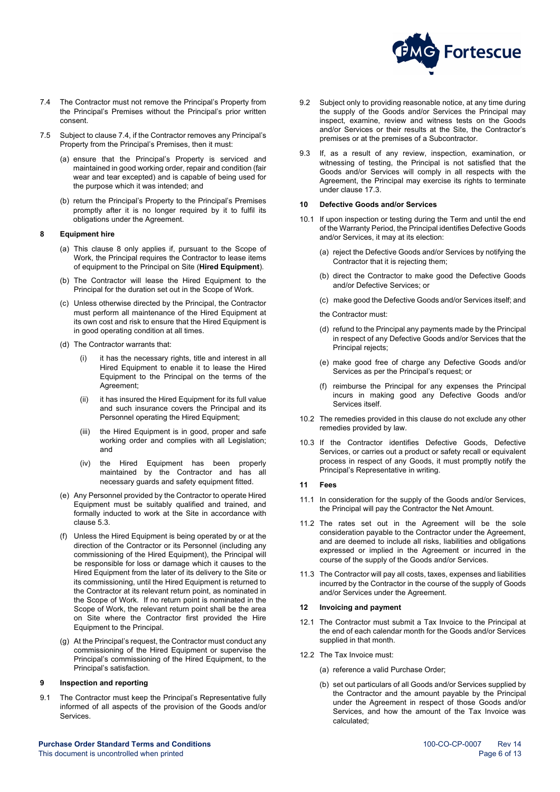

- <span id="page-5-6"></span>7.4 The Contractor must not remove the Principal's Property from the Principal's Premises without the Principal's prior written consent.
- 7.5 Subject to claus[e 7.4,](#page-5-6) if the Contractor removes any Principal's Property from the Principal's Premises, then it must:
	- (a) ensure that the Principal's Property is serviced and maintained in good working order, repair and condition (fair wear and tear excepted) and is capable of being used for the purpose which it was intended; and
	- (b) return the Principal's Property to the Principal's Premises promptly after it is no longer required by it to fulfil its obligations under the Agreement.

#### <span id="page-5-0"></span>**8 Equipment hire**

- <span id="page-5-5"></span>(a) This clause [8](#page-5-0) only applies if, pursuant to the Scope of Work, the Principal requires the Contractor to lease items of equipment to the Principal on Site (**Hired Equipment**).
- (b) The Contractor will lease the Hired Equipment to the Principal for the duration set out in the Scope of Work.
- (c) Unless otherwise directed by the Principal, the Contractor must perform all maintenance of the Hired Equipment at its own cost and risk to ensure that the Hired Equipment is in good operating condition at all times.
- (d) The Contractor warrants that:
	- it has the necessary rights, title and interest in all Hired Equipment to enable it to lease the Hired Equipment to the Principal on the terms of the Agreement;
	- (ii) it has insured the Hired Equipment for its full value and such insurance covers the Principal and its Personnel operating the Hired Equipment;
	- (iii) the Hired Equipment is in good, proper and safe working order and complies with all Legislation; and
	- (iv) the Hired Equipment has been properly maintained by the Contractor and has all necessary guards and safety equipment fitted.
- (e) Any Personnel provided by the Contractor to operate Hired Equipment must be suitably qualified and trained, and formally inducted to work at the Site in accordance with clause [5.3.](#page-4-5)
- (f) Unless the Hired Equipment is being operated by or at the direction of the Contractor or its Personnel (including any commissioning of the Hired Equipment), the Principal will be responsible for loss or damage which it causes to the Hired Equipment from the later of its delivery to the Site or its commissioning, until the Hired Equipment is returned to the Contractor at its relevant return point, as nominated in the Scope of Work. If no return point is nominated in the Scope of Work, the relevant return point shall be the area on Site where the Contractor first provided the Hire Equipment to the Principal.
- (g) At the Principal's request, the Contractor must conduct any commissioning of the Hired Equipment or supervise the Principal's commissioning of the Hired Equipment, to the Principal's satisfaction.

#### <span id="page-5-1"></span>**9 Inspection and reporting**

9.1 The Contractor must keep the Principal's Representative fully informed of all aspects of the provision of the Goods and/or Services.

- 9.2 Subject only to providing reasonable notice, at any time during the supply of the Goods and/or Services the Principal may inspect, examine, review and witness tests on the Goods and/or Services or their results at the Site, the Contractor's premises or at the premises of a Subcontractor.
- 9.3 If, as a result of any review, inspection, examination, or witnessing of testing, the Principal is not satisfied that the Goods and/or Services will comply in all respects with the Agreement, the Principal may exercise its rights to terminate under clause [17.3.](#page-6-5)

## <span id="page-5-2"></span>**10 Defective Goods and/or Services**

- 10.1 If upon inspection or testing during the Term and until the end of the Warranty Period, the Principal identifies Defective Goods and/or Services, it may at its election:
	- (a) reject the Defective Goods and/or Services by notifying the Contractor that it is rejecting them;
	- (b) direct the Contractor to make good the Defective Goods and/or Defective Services; or
	- (c) make good the Defective Goods and/or Services itself; and
	- the Contractor must:
	- (d) refund to the Principal any payments made by the Principal in respect of any Defective Goods and/or Services that the Principal rejects;
	- (e) make good free of charge any Defective Goods and/or Services as per the Principal's request; or
	- reimburse the Principal for any expenses the Principal incurs in making good any Defective Goods and/or Services itself.
- 10.2 The remedies provided in this clause do not exclude any other remedies provided by law.
- 10.3 If the Contractor identifies Defective Goods, Defective Services, or carries out a product or safety recall or equivalent process in respect of any Goods, it must promptly notify the Principal's Representative in writing.

#### <span id="page-5-3"></span>**11 Fees**

- 11.1 In consideration for the supply of the Goods and/or Services, the Principal will pay the Contractor the Net Amount.
- 11.2 The rates set out in the Agreement will be the sole consideration payable to the Contractor under the Agreement, and are deemed to include all risks, liabilities and obligations expressed or implied in the Agreement or incurred in the course of the supply of the Goods and/or Services.
- 11.3 The Contractor will pay all costs, taxes, expenses and liabilities incurred by the Contractor in the course of the supply of Goods and/or Services under the Agreement.

#### <span id="page-5-4"></span>**12 Invoicing and payment**

- 12.1 The Contractor must submit a Tax Invoice to the Principal at the end of each calendar month for the Goods and/or Services supplied in that month.
- <span id="page-5-7"></span>12.2 The Tax Invoice must:
	- (a) reference a valid Purchase Order;
	- (b) set out particulars of all Goods and/or Services supplied by the Contractor and the amount payable by the Principal under the Agreement in respect of those Goods and/or Services, and how the amount of the Tax Invoice was calculated;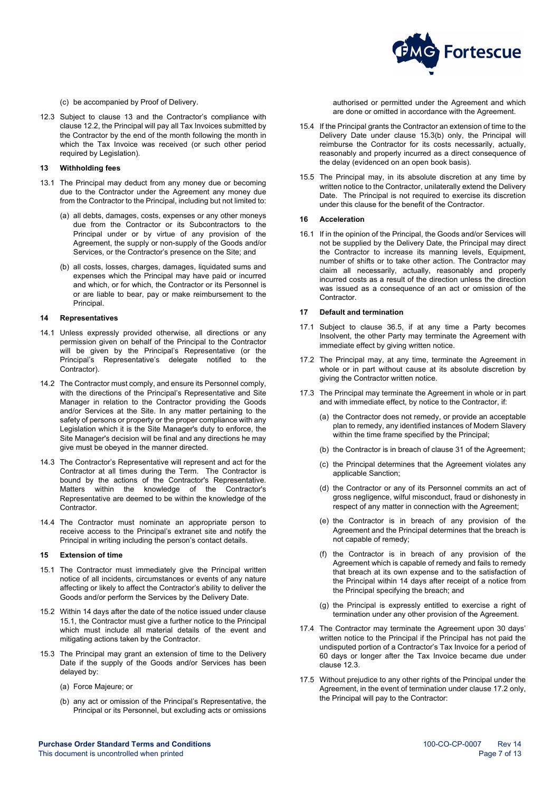

<span id="page-6-0"></span>(c) be accompanied by Proof of Delivery.

<span id="page-6-8"></span>12.3 Subject to clause [13](#page-6-0) and the Contractor's compliance with clause [12.2,](#page-5-7) the Principal will pay all Tax Invoices submitted by the Contractor by the end of the month following the month in which the Tax Invoice was received (or such other period required by Legislation).

#### **13 Withholding fees**

- 13.1 The Principal may deduct from any money due or becoming due to the Contractor under the Agreement any money due from the Contractor to the Principal, including but not limited to:
	- (a) all debts, damages, costs, expenses or any other moneys due from the Contractor or its Subcontractors to the Principal under or by virtue of any provision of the Agreement, the supply or non-supply of the Goods and/or Services, or the Contractor's presence on the Site; and
	- (b) all costs, losses, charges, damages, liquidated sums and expenses which the Principal may have paid or incurred and which, or for which, the Contractor or its Personnel is or are liable to bear, pay or make reimbursement to the Principal.

#### <span id="page-6-1"></span>**14 Representatives**

- 14.1 Unless expressly provided otherwise, all directions or any permission given on behalf of the Principal to the Contractor will be given by the Principal's Representative (or the Principal's Representative's delegate notified to the Contractor).
- 14.2 The Contractor must comply, and ensure its Personnel comply, with the directions of the Principal's Representative and Site Manager in relation to the Contractor providing the Goods and/or Services at the Site. In any matter pertaining to the safety of persons or property or the proper compliance with any Legislation which it is the Site Manager's duty to enforce, the Site Manager's decision will be final and any directions he may give must be obeyed in the manner directed.
- 14.3 The Contractor's Representative will represent and act for the Contractor at all times during the Term. The Contractor is bound by the actions of the Contractor's Representative. Matters within the knowledge of the Contractor's Representative are deemed to be within the knowledge of the Contractor.
- 14.4 The Contractor must nominate an appropriate person to receive access to the Principal's extranet site and notify the Principal in writing including the person's contact details.

## <span id="page-6-2"></span>**15 Extension of time**

- <span id="page-6-6"></span>15.1 The Contractor must immediately give the Principal written notice of all incidents, circumstances or events of any nature affecting or likely to affect the Contractor's ability to deliver the Goods and/or perform the Services by the Delivery Date.
- 15.2 Within 14 days after the date of the notice issued under clause [15.1,](#page-6-6) the Contractor must give a further notice to the Principal which must include all material details of the event and mitigating actions taken by the Contractor.
- <span id="page-6-7"></span>15.3 The Principal may grant an extension of time to the Delivery Date if the supply of the Goods and/or Services has been delayed by:
	- (a) Force Majeure; or
	- (b) any act or omission of the Principal's Representative, the Principal or its Personnel, but excluding acts or omissions

authorised or permitted under the Agreement and which are done or omitted in accordance with the Agreement.

- 15.4 If the Principal grants the Contractor an extension of time to the Delivery Date under clause [15.3\(b\)](#page-6-7) only, the Principal will reimburse the Contractor for its costs necessarily, actually, reasonably and properly incurred as a direct consequence of the delay (evidenced on an open book basis).
- 15.5 The Principal may, in its absolute discretion at any time by written notice to the Contractor, unilaterally extend the Delivery Date. The Principal is not required to exercise its discretion under this clause for the benefit of the Contractor.

#### <span id="page-6-3"></span>**16 Acceleration**

16.1 If in the opinion of the Principal, the Goods and/or Services will not be supplied by the Delivery Date, the Principal may direct the Contractor to increase its manning levels, Equipment, number of shifts or to take other action. The Contractor may claim all necessarily, actually, reasonably and properly incurred costs as a result of the direction unless the direction was issued as a consequence of an act or omission of the **Contractor** 

## <span id="page-6-4"></span>**17 Default and termination**

- <span id="page-6-12"></span>17.1 Subject to clause [36.5,](#page-12-1) if at any time a Party becomes Insolvent, the other Party may terminate the Agreement with immediate effect by giving written notice.
- <span id="page-6-9"></span>17.2 The Principal may, at any time, terminate the Agreement in whole or in part without cause at its absolute discretion by giving the Contractor written notice.
- <span id="page-6-11"></span><span id="page-6-10"></span><span id="page-6-5"></span>17.3 The Principal may terminate the Agreement in whole or in part and with immediate effect, by notice to the Contractor, if:
	- (a) the Contractor does not remedy, or provide an acceptable plan to remedy, any identified instances of Modern Slavery within the time frame specified by the Principal;
	- (b) the Contractor is in breach of claus[e 31](#page-11-1) of the Agreement;
	- (c) the Principal determines that the Agreement violates any applicable Sanction;
	- (d) the Contractor or any of its Personnel commits an act of gross negligence, wilful misconduct, fraud or dishonesty in respect of any matter in connection with the Agreement;
	- (e) the Contractor is in breach of any provision of the Agreement and the Principal determines that the breach is not capable of remedy;
	- (f) the Contractor is in breach of any provision of the Agreement which is capable of remedy and fails to remedy that breach at its own expense and to the satisfaction of the Principal within 14 days after receipt of a notice from the Principal specifying the breach; and
	- (g) the Principal is expressly entitled to exercise a right of termination under any other provision of the Agreement.
- 17.4 The Contractor may terminate the Agreement upon 30 days' written notice to the Principal if the Principal has not paid the undisputed portion of a Contractor's Tax Invoice for a period of 60 days or longer after the Tax Invoice became due under clause [12.3.](#page-6-8)
- 17.5 Without prejudice to any other rights of the Principal under the Agreement, in the event of termination under claus[e 17.2](#page-6-9) only, the Principal will pay to the Contractor: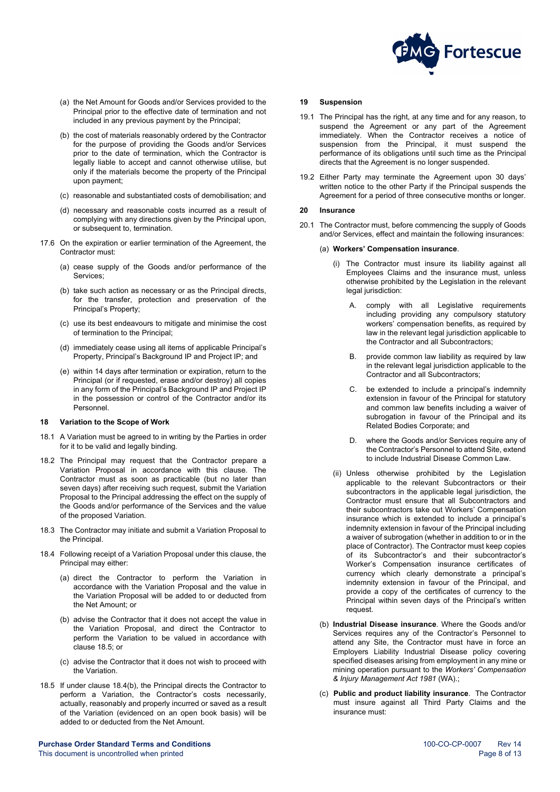

- (a) the Net Amount for Goods and/or Services provided to the Principal prior to the effective date of termination and not included in any previous payment by the Principal;
- (b) the cost of materials reasonably ordered by the Contractor for the purpose of providing the Goods and/or Services prior to the date of termination, which the Contractor is legally liable to accept and cannot otherwise utilise, but only if the materials become the property of the Principal upon payment;
- (c) reasonable and substantiated costs of demobilisation; and
- (d) necessary and reasonable costs incurred as a result of complying with any directions given by the Principal upon, or subsequent to, termination.
- 17.6 On the expiration or earlier termination of the Agreement, the Contractor must:
	- (a) cease supply of the Goods and/or performance of the Services;
	- (b) take such action as necessary or as the Principal directs, for the transfer, protection and preservation of the Principal's Property;
	- (c) use its best endeavours to mitigate and minimise the cost of termination to the Principal;
	- (d) immediately cease using all items of applicable Principal's Property, Principal's Background IP and Project IP; and
	- (e) within 14 days after termination or expiration, return to the Principal (or if requested, erase and/or destroy) all copies in any form of the Principal's Background IP and Project IP in the possession or control of the Contractor and/or its Personnel.

#### <span id="page-7-0"></span>**18 Variation to the Scope of Work**

- 18.1 A Variation must be agreed to in writing by the Parties in order for it to be valid and legally binding.
- 18.2 The Principal may request that the Contractor prepare a Variation Proposal in accordance with this clause. The Contractor must as soon as practicable (but no later than seven days) after receiving such request, submit the Variation Proposal to the Principal addressing the effect on the supply of the Goods and/or performance of the Services and the value of the proposed Variation.
- 18.3 The Contractor may initiate and submit a Variation Proposal to the Principal.
- <span id="page-7-5"></span>18.4 Following receipt of a Variation Proposal under this clause, the Principal may either:
	- (a) direct the Contractor to perform the Variation in accordance with the Variation Proposal and the value in the Variation Proposal will be added to or deducted from the Net Amount; or
	- (b) advise the Contractor that it does not accept the value in the Variation Proposal, and direct the Contractor to perform the Variation to be valued in accordance with claus[e 18.5;](#page-7-4) or
	- (c) advise the Contractor that it does not wish to proceed with the Variation.
- <span id="page-7-4"></span>18.5 If under clause [18.4\(b\),](#page-7-5) the Principal directs the Contractor to perform a Variation, the Contractor's costs necessarily, actually, reasonably and properly incurred or saved as a result of the Variation (evidenced on an open book basis) will be added to or deducted from the Net Amount.

**Purchase Order Standard Terms and Conditions**<br>
This document is uncontrolled when printed<br>
26 Page 8 of 13 This document is uncontrolled when printed

## <span id="page-7-1"></span>**19 Suspension**

- 19.1 The Principal has the right, at any time and for any reason, to suspend the Agreement or any part of the Agreement immediately. When the Contractor receives a notice of suspension from the Principal, it must suspend the performance of its obligations until such time as the Principal directs that the Agreement is no longer suspended.
- 19.2 Either Party may terminate the Agreement upon 30 days' written notice to the other Party if the Principal suspends the Agreement for a period of three consecutive months or longer.

#### <span id="page-7-2"></span>**20 Insurance**

<span id="page-7-3"></span>20.1 The Contractor must, before commencing the supply of Goods and/or Services, effect and maintain the following insurances:

#### (a) **Workers' Compensation insurance**.

- (i) The Contractor must insure its liability against all Employees Claims and the insurance must, unless otherwise prohibited by the Legislation in the relevant legal jurisdiction:
	- A. comply with all Legislative requirements including providing any compulsory statutory workers' compensation benefits, as required by law in the relevant legal jurisdiction applicable to the Contractor and all Subcontractors;
	- B. provide common law liability as required by law in the relevant legal jurisdiction applicable to the Contractor and all Subcontractors;
	- C. be extended to include a principal's indemnity extension in favour of the Principal for statutory and common law benefits including a waiver of subrogation in favour of the Principal and its Related Bodies Corporate; and
	- where the Goods and/or Services require any of the Contractor's Personnel to attend Site, extend to include Industrial Disease Common Law.
- (ii) Unless otherwise prohibited by the Legislation applicable to the relevant Subcontractors or their subcontractors in the applicable legal jurisdiction, the Contractor must ensure that all Subcontractors and their subcontractors take out Workers' Compensation insurance which is extended to include a principal's indemnity extension in favour of the Principal including a waiver of subrogation (whether in addition to or in the place of Contractor). The Contractor must keep copies of its Subcontractor's and their subcontractor's Worker's Compensation insurance certificates of currency which clearly demonstrate a principal's indemnity extension in favour of the Principal, and provide a copy of the certificates of currency to the Principal within seven days of the Principal's written request
- (b) **Industrial Disease insurance**. Where the Goods and/or Services requires any of the Contractor's Personnel to attend any Site, the Contractor must have in force an Employers Liability Industrial Disease policy covering specified diseases arising from employment in any mine or mining operation pursuant to the *Workers' Compensation & Injury Management Act 1981* (WA).;
- (c) **Public and product liability insurance**. The Contractor must insure against all Third Party Claims and the insurance must: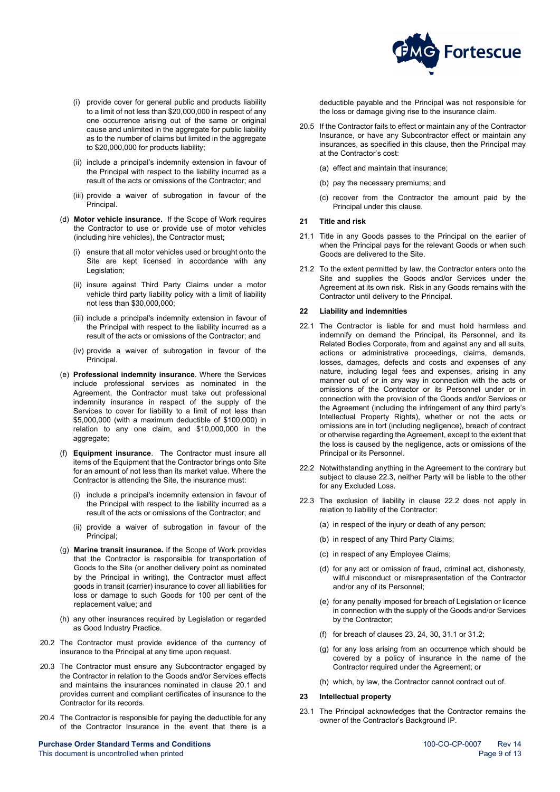- 
- (i) provide cover for general public and products liability to a limit of not less than \$20,000,000 in respect of any one occurrence arising out of the same or original cause and unlimited in the aggregate for public liability as to the number of claims but limited in the aggregate to \$20,000,000 for products liability;
- (ii) include a principal's indemnity extension in favour of the Principal with respect to the liability incurred as a result of the acts or omissions of the Contractor; and
- (iii) provide a waiver of subrogation in favour of the **Principal**
- (d) **Motor vehicle insurance.** If the Scope of Work requires the Contractor to use or provide use of motor vehicles (including hire vehicles), the Contractor must;
	- (i) ensure that all motor vehicles used or brought onto the Site are kept licensed in accordance with any Legislation;
	- (ii) insure against Third Party Claims under a motor vehicle third party liability policy with a limit of liability not less than \$30,000,000;
	- (iii) include a principal's indemnity extension in favour of the Principal with respect to the liability incurred as a result of the acts or omissions of the Contractor; and
	- (iv) provide a waiver of subrogation in favour of the Principal.
- (e) **Professional indemnity insurance**. Where the Services include professional services as nominated in the Agreement, the Contractor must take out professional indemnity insurance in respect of the supply of the Services to cover for liability to a limit of not less than \$5,000,000 (with a maximum deductible of \$100,000) in relation to any one claim, and \$10,000,000 in the aggregate;
- (f) **Equipment insurance**. The Contractor must insure all items of the Equipment that the Contractor brings onto Site for an amount of not less than its market value. Where the Contractor is attending the Site, the insurance must:
	- (i) include a principal's indemnity extension in favour of the Principal with respect to the liability incurred as a result of the acts or omissions of the Contractor; and
	- (ii) provide a waiver of subrogation in favour of the Principal;
- (g) **Marine transit insurance.** If the Scope of Work provides that the Contractor is responsible for transportation of Goods to the Site (or another delivery point as nominated by the Principal in writing), the Contractor must affect goods in transit (carrier) insurance to cover all liabilities for loss or damage to such Goods for 100 per cent of the replacement value; and
- (h) any other insurances required by Legislation or regarded as Good Industry Practice.
- 20.2 The Contractor must provide evidence of the currency of insurance to the Principal at any time upon request.
- 20.3 The Contractor must ensure any Subcontractor engaged by the Contractor in relation to the Goods and/or Services effects and maintains the insurances nominated in clause [20.1](#page-7-3) and provides current and compliant certificates of insurance to the Contractor for its records.
- 20.4 The Contractor is responsible for paying the deductible for any of the Contractor Insurance in the event that there is a

**Purchase Order Standard Terms and Conditions** 100-CDCP-0007 Rev 14 This document is uncontrolled when printed **Page 9 of 13** and 2008 and 2008 and 2008 and 2008 and 2008 and 2008 and 2008 and 2008 and 2008 and 2008 and 2008 and 2008 and 2008 and 2008 and 2008 and 2008 and 2008 and 2008 an



**Fortescue** 

- 20.5 If the Contractor fails to effect or maintain any of the Contractor Insurance, or have any Subcontractor effect or maintain any insurances, as specified in this clause, then the Principal may at the Contractor's cost:
	- (a) effect and maintain that insurance;
	- (b) pay the necessary premiums; and
	- (c) recover from the Contractor the amount paid by the Principal under this clause.

## <span id="page-8-0"></span>**21 Title and risk**

- 21.1 Title in any Goods passes to the Principal on the earlier of when the Principal pays for the relevant Goods or when such Goods are delivered to the Site.
- 21.2 To the extent permitted by law, the Contractor enters onto the Site and supplies the Goods and/or Services under the Agreement at its own risk. Risk in any Goods remains with the Contractor until delivery to the Principal.

## <span id="page-8-1"></span>**22 Liability and indemnities**

- 22.1 The Contractor is liable for and must hold harmless and indemnify on demand the Principal, its Personnel, and its Related Bodies Corporate, from and against any and all suits, actions or administrative proceedings, claims, demands, losses, damages, defects and costs and expenses of any nature, including legal fees and expenses, arising in any manner out of or in any way in connection with the acts or omissions of the Contractor or its Personnel under or in connection with the provision of the Goods and/or Services or the Agreement (including the infringement of any third party's Intellectual Property Rights), whether or not the acts or omissions are in tort (including negligence), breach of contract or otherwise regarding the Agreement, except to the extent that the loss is caused by the negligence, acts or omissions of the Principal or its Personnel.
- <span id="page-8-4"></span>22.2 Notwithstanding anything in the Agreement to the contrary but subject to clause [22.3,](#page-8-3) neither Party will be liable to the other for any Excluded Loss.
- <span id="page-8-3"></span>22.3 The exclusion of liability in clause [22.2](#page-8-4) does not apply in relation to liability of the Contractor:
	- (a) in respect of the injury or death of any person;
	- (b) in respect of any Third Party Claims;
	- (c) in respect of any Employee Claims;
	- (d) for any act or omission of fraud, criminal act, dishonesty, wilful misconduct or misrepresentation of the Contractor and/or any of its Personnel;
	- (e) for any penalty imposed for breach of Legislation or licence in connection with the supply of the Goods and/or Services by the Contractor;
	- (f) for breach of clauses [23,](#page-8-2) [24,](#page-9-0) [30,](#page-11-0) [31.1](#page-11-6) o[r 31.2;](#page-11-7)
	- (g) for any loss arising from an occurrence which should be covered by a policy of insurance in the name of the Contractor required under the Agreement; or
	- (h) which, by law, the Contractor cannot contract out of.

## <span id="page-8-2"></span>**23 Intellectual property**

23.1 The Principal acknowledges that the Contractor remains the owner of the Contractor's Background IP.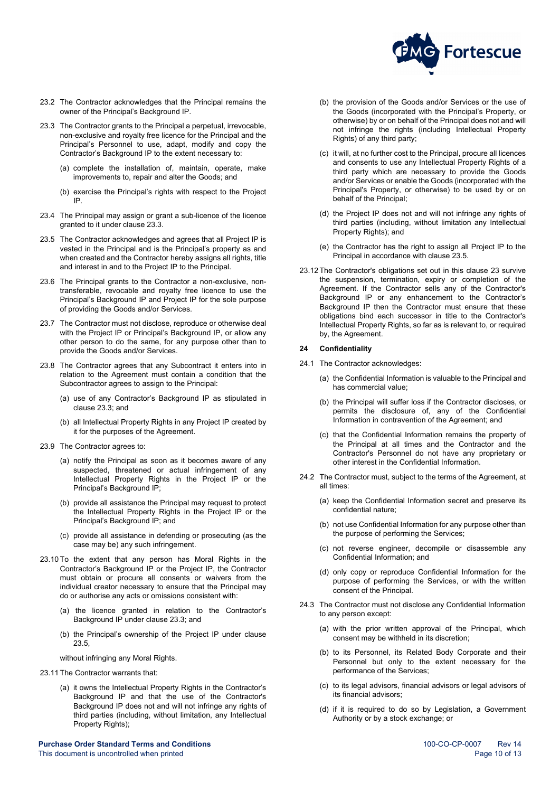

- 23.2 The Contractor acknowledges that the Principal remains the owner of the Principal's Background IP.
- <span id="page-9-1"></span>23.3 The Contractor grants to the Principal a perpetual, irrevocable, non-exclusive and royalty free licence for the Principal and the Principal's Personnel to use, adapt, modify and copy the Contractor's Background IP to the extent necessary to:
	- (a) complete the installation of, maintain, operate, make improvements to, repair and alter the Goods; and
	- (b) exercise the Principal's rights with respect to the Project IP.
- 23.4 The Principal may assign or grant a sub-licence of the licence granted to it under claus[e 23.3.](#page-9-1)
- <span id="page-9-2"></span>23.5 The Contractor acknowledges and agrees that all Project IP is vested in the Principal and is the Principal's property as and when created and the Contractor hereby assigns all rights, title and interest in and to the Project IP to the Principal.
- 23.6 The Principal grants to the Contractor a non-exclusive, nontransferable, revocable and royalty free licence to use the Principal's Background IP and Project IP for the sole purpose of providing the Goods and/or Services.
- 23.7 The Contractor must not disclose, reproduce or otherwise deal with the Project IP or Principal's Background IP, or allow any other person to do the same, for any purpose other than to provide the Goods and/or Services.
- 23.8 The Contractor agrees that any Subcontract it enters into in relation to the Agreement must contain a condition that the Subcontractor agrees to assign to the Principal:
	- (a) use of any Contractor's Background IP as stipulated in claus[e 23.3;](#page-9-1) and
	- (b) all Intellectual Property Rights in any Project IP created by it for the purposes of the Agreement.
- 23.9 The Contractor agrees to:
	- (a) notify the Principal as soon as it becomes aware of any suspected, threatened or actual infringement of any Intellectual Property Rights in the Project IP or the Principal's Background IP;
	- (b) provide all assistance the Principal may request to protect the Intellectual Property Rights in the Project IP or the Principal's Background IP; and
	- (c) provide all assistance in defending or prosecuting (as the case may be) any such infringement.
- 23.10 To the extent that any person has Moral Rights in the Contractor's Background IP or the Project IP, the Contractor must obtain or procure all consents or waivers from the individual creator necessary to ensure that the Principal may do or authorise any acts or omissions consistent with:
	- (a) the licence granted in relation to the Contractor's Background IP under claus[e 23.3;](#page-9-1) and
	- (b) the Principal's ownership of the Project IP under clause [23.5,](#page-9-2)
	- without infringing any Moral Rights.
- 23.11 The Contractor warrants that:
	- (a) it owns the Intellectual Property Rights in the Contractor's Background IP and that the use of the Contractor's Background IP does not and will not infringe any rights of third parties (including, without limitation, any Intellectual Property Rights);

**Purchase Order Standard Terms and Conditions**<br>
This document is uncontrolled when printed<br>
21 Page 10 of 13 This document is uncontrolled when printed

- (b) the provision of the Goods and/or Services or the use of the Goods (incorporated with the Principal's Property, or otherwise) by or on behalf of the Principal does not and will not infringe the rights (including Intellectual Property Rights) of any third party;
- (c) it will, at no further cost to the Principal, procure all licences and consents to use any Intellectual Property Rights of a third party which are necessary to provide the Goods and/or Services or enable the Goods (incorporated with the Principal's Property, or otherwise) to be used by or on behalf of the Principal;
- (d) the Project IP does not and will not infringe any rights of third parties (including, without limitation any Intellectual Property Rights); and
- (e) the Contractor has the right to assign all Project IP to the Principal in accordance with clause [23.5.](#page-9-2)
- 23.12 The Contractor's obligations set out in this clause [23](#page-8-2) survive the suspension, termination, expiry or completion of the Agreement. If the Contractor sells any of the Contractor's Background IP or any enhancement to the Contractor's Background IP then the Contractor must ensure that these obligations bind each successor in title to the Contractor's Intellectual Property Rights, so far as is relevant to, or required by, the Agreement.

## <span id="page-9-0"></span>**24 Confidentiality**

- 24.1 The Contractor acknowledges:
	- (a) the Confidential Information is valuable to the Principal and has commercial value;
	- (b) the Principal will suffer loss if the Contractor discloses, or permits the disclosure of, any of the Confidential Information in contravention of the Agreement; and
	- (c) that the Confidential Information remains the property of the Principal at all times and the Contractor and the Contractor's Personnel do not have any proprietary or other interest in the Confidential Information.
- 24.2 The Contractor must, subject to the terms of the Agreement, at all times:
	- (a) keep the Confidential Information secret and preserve its confidential nature;
	- (b) not use Confidential Information for any purpose other than the purpose of performing the Services;
	- (c) not reverse engineer, decompile or disassemble any Confidential Information; and
	- (d) only copy or reproduce Confidential Information for the purpose of performing the Services, or with the written consent of the Principal.
- 24.3 The Contractor must not disclose any Confidential Information to any person except:
	- (a) with the prior written approval of the Principal, which consent may be withheld in its discretion;
	- (b) to its Personnel, its Related Body Corporate and their Personnel but only to the extent necessary for the performance of the Services;
	- (c) to its legal advisors, financial advisors or legal advisors of its financial advisors;
	- (d) if it is required to do so by Legislation, a Government Authority or by a stock exchange; or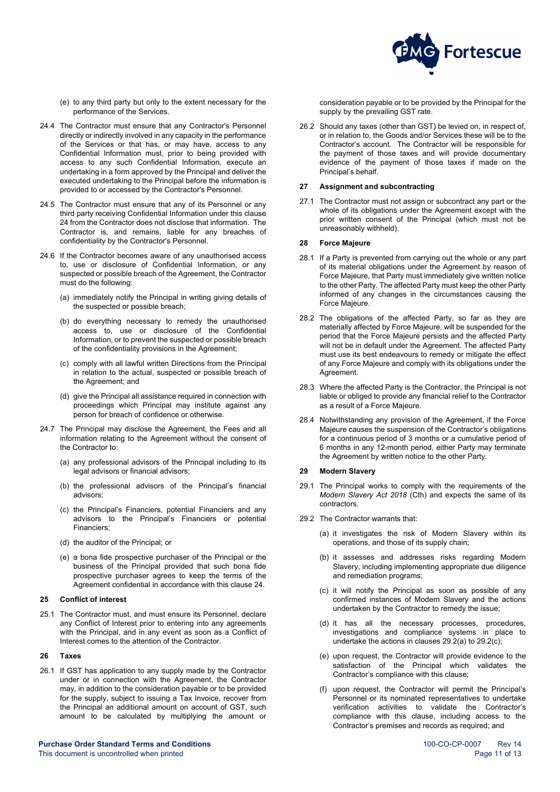

- (e) to any third party but only to the extent necessary for the performance of the Services.
- 24.4 The Contractor must ensure that any Contractor's Personnel directly or indirectly involved in any capacity in the performance of the Services or that has, or may have, access to any Confidential Information must, prior to being provided with access to any such Confidential Information, execute an undertaking in a form approved by the Principal and deliver the executed undertaking to the Principal before the information is provided to or accessed by the Contractor's Personnel.
- 24.5 The Contractor must ensure that any of its Personnel or any third party receiving Confidential Information under this clause 24 from the Contractor does not disclose that information. The Contractor is, and remains, liable for any breaches of confidentiality by the Contractor's Personnel.
- 24.6 If the Contractor becomes aware of any unauthorised access to, use or disclosure of Confidential Information, or any suspected or possible breach of the Agreement, the Contractor must do the following:
	- (a) immediately notify the Principal in writing giving details of the suspected or possible breach;
	- (b) do everything necessary to remedy the unauthorised access to, use or disclosure of the Confidential Information, or to prevent the suspected or possible breach of the confidentiality provisions in the Agreement;
	- (c) comply with all lawful written Directions from the Principal in relation to the actual, suspected or possible breach of the Agreement; and
	- (d) give the Principal all assistance required in connection with proceedings which Principal may institute against any person for breach of confidence or otherwise.
- 24.7 The Principal may disclose the Agreement, the Fees and all information relating to the Agreement without the consent of the Contractor to:
	- (a) any professional advisors of the Principal including to its legal advisors or financial advisors;
	- (b) the professional advisors of the Principal's financial advisors;
	- (c) the Principal's Financiers, potential Financiers and any advisors to the Principal's Financiers or potential Financiers;
	- (d) the auditor of the Principal; or
	- (e) a bona fide prospective purchaser of the Principal or the business of the Principal provided that such bona fide prospective purchaser agrees to keep the terms of the Agreement confidential in accordance with this clause [24.](#page-9-0)

## <span id="page-10-0"></span>**25 Conflict of interest**

25.1 The Contractor must, and must ensure its Personnel, declare any Conflict of Interest prior to entering into any agreements with the Principal, and in any event as soon as a Conflict of Interest comes to the attention of the Contractor.

## <span id="page-10-1"></span>**26 Taxes**

26.1 If GST has application to any supply made by the Contractor under or in connection with the Agreement, the Contractor may, in addition to the consideration payable or to be provided for the supply, subject to issuing a Tax Invoice, recover from the Principal an additional amount on account of GST, such amount to be calculated by multiplying the amount or

**Purchase Order Standard Terms and Conditions** 100-CDCP-0007 Rev 14 This document is uncontrolled when printed **Page 11** of 13

consideration payable or to be provided by the Principal for the supply by the prevailing GST rate.

26.2 Should any taxes (other than GST) be levied on, in respect of, or in relation to, the Goods and/or Services these will be to the Contractor's account. The Contractor will be responsible for the payment of those taxes and will provide documentary evidence of the payment of those taxes if made on the Principal's behalf.

#### <span id="page-10-2"></span>**27 Assignment and subcontracting**

27.1 The Contractor must not assign or subcontract any part or the whole of its obligations under the Agreement except with the prior written consent of the Principal (which must not be unreasonably withheld).

## <span id="page-10-3"></span>**28 Force Majeure**

- 28.1 If a Party is prevented from carrying out the whole or any part of its material obligations under the Agreement by reason of Force Majeure, that Party must immediately give written notice to the other Party. The affected Party must keep the other Party informed of any changes in the circumstances causing the Force Majeure.
- 28.2 The obligations of the affected Party, so far as they are materially affected by Force Majeure, will be suspended for the period that the Force Majeure persists and the affected Party will not be in default under the Agreement. The affected Party must use its best endeavours to remedy or mitigate the effect of any Force Majeure and comply with its obligations under the Agreement.
- 28.3 Where the affected Party is the Contractor, the Principal is not liable or obliged to provide any financial relief to the Contractor as a result of a Force Majeure.
- 28.4 Notwithstanding any provision of the Agreement, if the Force Majeure causes the suspension of the Contractor's obligations for a continuous period of 3 months or a cumulative period of 6 months in any 12-month period, either Party may terminate the Agreement by written notice to the other Party.

## <span id="page-10-4"></span>**29 Modern Slavery**

- 29.1 The Principal works to comply with the requirements of the *Modern Slavery Act 2018* (Cth) and expects the same of its contractors.
- <span id="page-10-7"></span><span id="page-10-6"></span><span id="page-10-5"></span>29.2 The Contractor warrants that:
	- (a) it investigates the risk of Modern Slavery within its operations, and those of its supply chain;
	- (b) it assesses and addresses risks regarding Modern Slavery, including implementing appropriate due diligence and remediation programs;
	- (c) it will notify the Principal as soon as possible of any confirmed instances of Modern Slavery and the actions undertaken by the Contractor to remedy the issue;
	- (d) it has all the necessary processes, procedures, investigations and compliance systems in place to undertake the actions in clause[s 29.2\(a\)](#page-10-5) to [29.2\(c\);](#page-10-6)
	- (e) upon request, the Contractor will provide evidence to the satisfaction of the Principal which validates the Contractor's compliance with this clause;
	- (f) upon request, the Contractor will permit the Principal's Personnel or its nominated representatives to undertake verification activities to validate the Contractor's compliance with this clause, including access to the Contractor's premises and records as required; and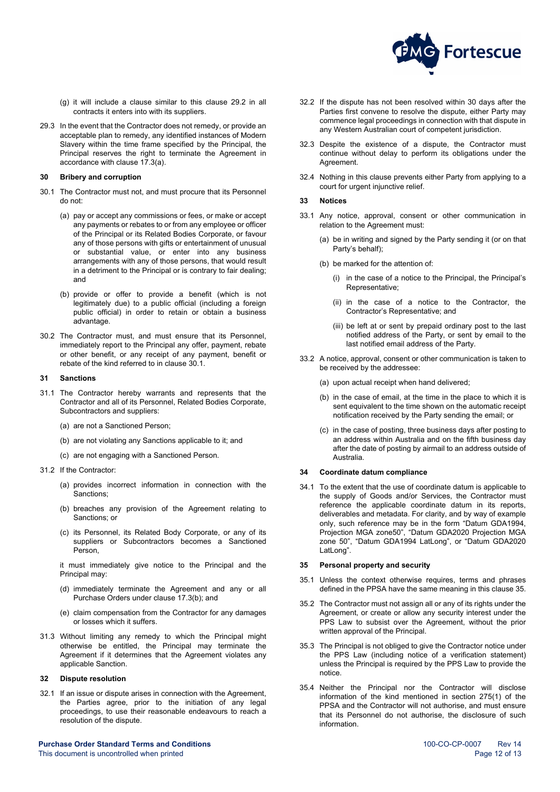

- (g) it will include a clause similar to this clause [29.2](#page-10-7) in all contracts it enters into with its suppliers.
- 29.3 In the event that the Contractor does not remedy, or provide an acceptable plan to remedy, any identified instances of Modern Slavery within the time frame specified by the Principal, the Principal reserves the right to terminate the Agreement in accordance with clause [17.3\(a\).](#page-6-10)

#### <span id="page-11-0"></span>**30 Bribery and corruption**

- <span id="page-11-8"></span>30.1 The Contractor must not, and must procure that its Personnel do not:
	- (a) pay or accept any commissions or fees, or make or accept any payments or rebates to or from any employee or officer of the Principal or its Related Bodies Corporate, or favour any of those persons with gifts or entertainment of unusual or substantial value, or enter into any business arrangements with any of those persons, that would result in a detriment to the Principal or is contrary to fair dealing; and
	- (b) provide or offer to provide a benefit (which is not legitimately due) to a public official (including a foreign public official) in order to retain or obtain a business advantage.
- 30.2 The Contractor must, and must ensure that its Personnel, immediately report to the Principal any offer, payment, rebate or other benefit, or any receipt of any payment, benefit or rebate of the kind referred to in clause [30.1.](#page-11-8)

## <span id="page-11-1"></span>**31 Sanctions**

- <span id="page-11-6"></span>31.1 The Contractor hereby warrants and represents that the Contractor and all of its Personnel, Related Bodies Corporate, Subcontractors and suppliers:
	- (a) are not a Sanctioned Person;
	- (b) are not violating any Sanctions applicable to it; and
	- (c) are not engaging with a Sanctioned Person.
- <span id="page-11-7"></span>31.2 If the Contractor:
	- (a) provides incorrect information in connection with the Sanctions;
	- (b) breaches any provision of the Agreement relating to Sanctions; or
	- (c) its Personnel, its Related Body Corporate, or any of its suppliers or Subcontractors becomes a Sanctioned Person,

it must immediately give notice to the Principal and the Principal may:

- (d) immediately terminate the Agreement and any or all Purchase Orders under claus[e 17.3\(](#page-6-5)[b\);](#page-6-11) and
- (e) claim compensation from the Contractor for any damages or losses which it suffers.
- 31.3 Without limiting any remedy to which the Principal might otherwise be entitled, the Principal may terminate the Agreement if it determines that the Agreement violates any applicable Sanction.

## <span id="page-11-2"></span>**32 Dispute resolution**

32.1 If an issue or dispute arises in connection with the Agreement, the Parties agree, prior to the initiation of any legal proceedings, to use their reasonable endeavours to reach a resolution of the dispute.

**Purchase Order Standard Terms and Conditions** 100-CDCP-0007 Rev 14 This document is uncontrolled when printed **Page 12** of 13

- 32.2 If the dispute has not been resolved within 30 days after the Parties first convene to resolve the dispute, either Party may commence legal proceedings in connection with that dispute in any Western Australian court of competent jurisdiction.
- 32.3 Despite the existence of a dispute, the Contractor must continue without delay to perform its obligations under the **Agreement**
- 32.4 Nothing in this clause prevents either Party from applying to a court for urgent injunctive relief.

## <span id="page-11-3"></span>**33 Notices**

- 33.1 Any notice, approval, consent or other communication in relation to the Agreement must:
	- be in writing and signed by the Party sending it (or on that Party's behalf);
	- (b) be marked for the attention of:
		- (i) in the case of a notice to the Principal, the Principal's Representative;
		- (ii) in the case of a notice to the Contractor, the Contractor's Representative; and
		- (iii) be left at or sent by prepaid ordinary post to the last notified address of the Party, or sent by email to the last notified email address of the Party.
- 33.2 A notice, approval, consent or other communication is taken to be received by the addressee:
	- (a) upon actual receipt when hand delivered;
	- (b) in the case of email, at the time in the place to which it is sent equivalent to the time shown on the automatic receipt notification received by the Party sending the email; or
	- (c) in the case of posting, three business days after posting to an address within Australia and on the fifth business day after the date of posting by airmail to an address outside of Australia.

#### <span id="page-11-4"></span>**34 Coordinate datum compliance**

34.1 To the extent that the use of coordinate datum is applicable to the supply of Goods and/or Services, the Contractor must reference the applicable coordinate datum in its reports, deliverables and metadata. For clarity, and by way of example only, such reference may be in the form "Datum GDA1994, Projection MGA zone50", "Datum GDA2020 Projection MGA zone 50", "Datum GDA1994 LatLong", or "Datum GDA2020 LatLong".

#### <span id="page-11-5"></span>**35 Personal property and security**

- 35.1 Unless the context otherwise requires, terms and phrases defined in the PPSA have the same meaning in this claus[e 35.](#page-11-5)
- 35.2 The Contractor must not assign all or any of its rights under the Agreement, or create or allow any security interest under the PPS Law to subsist over the Agreement, without the prior written approval of the Principal.
- 35.3 The Principal is not obliged to give the Contractor notice under the PPS Law (including notice of a verification statement) unless the Principal is required by the PPS Law to provide the notice.
- <span id="page-11-9"></span>35.4 Neither the Principal nor the Contractor will disclose information of the kind mentioned in section 275(1) of the PPSA and the Contractor will not authorise, and must ensure that its Personnel do not authorise, the disclosure of such information.